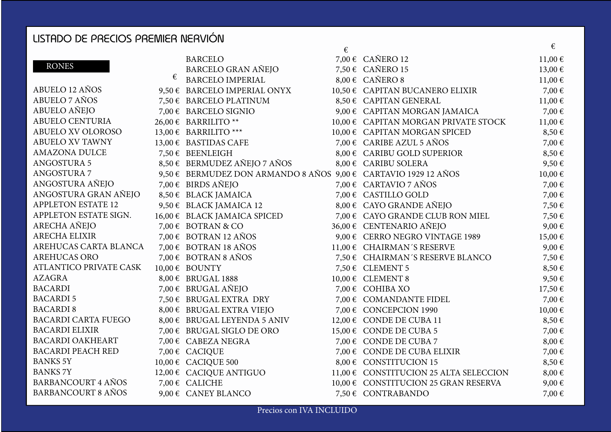## LISTADO DE PRECIOS PREMIER NERVIÓN

|                               |   |                                                                 | € |                                        | €           |
|-------------------------------|---|-----------------------------------------------------------------|---|----------------------------------------|-------------|
|                               |   | <b>BARCELO</b>                                                  |   | 7,00 € CAÑERO 12                       | $11,00 \in$ |
| <b>RONES</b>                  |   | <b>BARCELO GRAN AÑEJO</b>                                       |   | 7,50 € CAÑERO 15                       | 13,00 €     |
|                               | € | <b>BARCELO IMPERIAL</b>                                         |   | $8,00 \in CAÑERO 8$                    | $11,00 \in$ |
| ABUELO 12 AÑOS                |   | 9,50 € BARCELO IMPERIAL ONYX                                    |   | 10,50 € CAPITAN BUCANERO ELIXIR        | 7,00€       |
| ABUELO 7 AÑOS                 |   | 7,50 € BARCELO PLATINUM                                         |   | 8,50 € CAPITAN GENERAL                 | $11,00 \in$ |
| ABUELO AÑEJO                  |   | 7,00 € BARCELO SIGNIO                                           |   | 9,00 € CAPITAN MORGAN JAMAICA          | 7,00€       |
| <b>ABUELO CENTURIA</b>        |   | 26,00 € BARRILITO **                                            |   | 10,00 € CAPITAN MORGAN PRIVATE STOCK   | $11,00 \in$ |
| <b>ABUELO XV OLOROSO</b>      |   | 13,00 € BARRILITO ***                                           |   | 10,00 € CAPITAN MORGAN SPICED          | 8,50€       |
| ABUELO XV TAWNY               |   | 13,00 € BASTIDAS CAFE                                           |   | 7,00 $\epsilon$ CARIBE AZUL 5 AÑOS     | 7,00€       |
| <b>AMAZONA DULCE</b>          |   | 7,50 € BEENLEIGH                                                |   | 8,00 € CARIBU GOLD SUPERIOR            | 8,50€       |
| <b>ANGOSTURA 5</b>            |   | 8,50 € BERMUDEZ AÑEJO 7 AÑOS                                    |   | 8,00 € CARIBU SOLERA                   | 9,50€       |
| <b>ANGOSTURA 7</b>            |   | 9,50 € BERMUDEZ DON ARMANDO 8 AÑOS 9,00 € CARTAVIO 1929 12 AÑOS |   |                                        | 10,00€      |
| ANGOSTURA AÑEJO               |   | 7,00 € BIRDS AÑEJO                                              |   | 7,00 € CARTAVIO 7 AÑOS                 | 7,00€       |
| ANGOSTURA GRAN AÑEJO          |   | 8,50 € BLACK JAMAICA                                            |   | 7,00 € CASTILLO GOLD                   | 7,00€       |
| <b>APPLETON ESTATE 12</b>     |   | 9,50 € BLACK JAMAICA 12                                         |   | $8,00 \in$ CAYO GRANDE AÑEJO           | 7,50€       |
| APPLETON ESTATE SIGN.         |   | 16,00 € BLACK JAMAICA SPICED                                    |   | 7,00 € CAYO GRANDE CLUB RON MIEL       | 7,50€       |
| ARECHA AÑEJO                  |   | 7,00 € BOTRAN & CO                                              |   | 36,00 € CENTENARIO AÑEJO               | 9,00€       |
| ARECHA ELIXIR                 |   | $7,00 \in$ BOTRAN 12 AÑOS                                       |   | 9,00 € CERRO NEGRO VINTAGE 1989        | 15,00€      |
| AREHUCAS CARTA BLANCA         |   | 7,00 € BOTRAN 18 AÑOS                                           |   | 11,00 € CHAIRMAN'S RESERVE             | 9,00€       |
| <b>AREHUCAS ORO</b>           |   | $7,00 \in BOTRAN 8 AÑOS$                                        |   | 7,50 € CHAIRMAN'S RESERVE BLANCO       | 7,50€       |
| <b>ATLANTICO PRIVATE CASK</b> |   | $10,00 \in BOUNTY$                                              |   | 7,50 € CLEMENT 5                       | 8,50€       |
| <b>AZAGRA</b>                 |   | 8,00 € BRUGAL 1888                                              |   | $10,00 \in$ CLEMENT 8                  | 9,50€       |
| <b>BACARDI</b>                |   | 7,00 € BRUGAL AÑEJO                                             |   | 7,00 € COHIBA XO                       | 17,50€      |
| <b>BACARDI5</b>               |   | 7,50 € BRUGAL EXTRA DRY                                         |   | 7,00 € COMANDANTE FIDEL                | 7,00€       |
| <b>BACARDI 8</b>              |   | 8,00 € BRUGAL EXTRA VIEJO                                       |   | 7,00 € CONCEPCION 1990                 | 10,00€      |
| <b>BACARDI CARTA FUEGO</b>    |   | 8,00 € BRUGAL LEYENDA 5 ANIV                                    |   | 12,00 € CONDE DE CUBA 11               | 8,50€       |
| <b>BACARDI ELIXIR</b>         |   | 7,00 € BRUGAL SIGLO DE ORO                                      |   | 15,00 € CONDE DE CUBA 5                | 7,00 €      |
| <b>BACARDI OAKHEART</b>       |   | 7,00 € CABEZA NEGRA                                             |   | 7,00 € CONDE DE CUBA 7                 | 8,00€       |
| <b>BACARDI PEACH RED</b>      |   | 7,00 € CACIQUE                                                  |   | 7,00 € CONDE DE CUBA ELIXIR            | 7,00€       |
| <b>BANKS 5Y</b>               |   | 10,00 € CACIQUE 500                                             |   | 8,00 € CONSTITUCION 15                 | 8,50€       |
| <b>BANKS 7Y</b>               |   | 12,00 € CACIQUE ANTIGUO                                         |   | 11,00 € CONSTITUCION 25 ALTA SELECCION | 8,00€       |
| <b>BARBANCOURT 4 AÑOS</b>     |   | 7,00 € CALICHE                                                  |   | 10,00 € CONSTITUCION 25 GRAN RESERVA   | 9,00€       |
| <b>BARBANCOURT 8 AÑOS</b>     |   | 9,00 $\epsilon$ CANEY BLANCO                                    |   | 7,50 € CONTRABANDO                     | 7,00€       |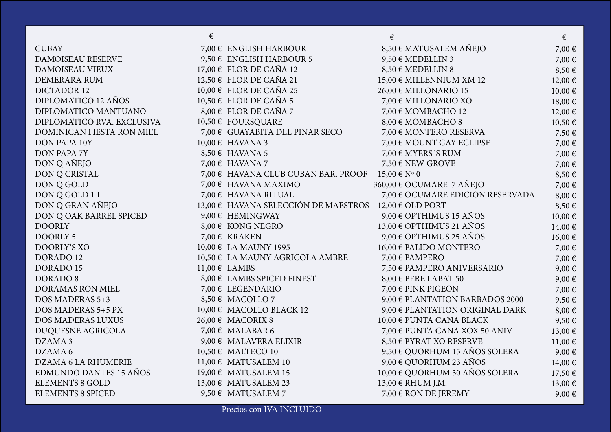|                            | € |                                                       | €                                           | €          |
|----------------------------|---|-------------------------------------------------------|---------------------------------------------|------------|
| <b>CUBAY</b>               |   | 7,00 € ENGLISH HARBOUR                                | 8,50 € MATUSALEM AÑEJO                      | 7,00€      |
| DAMOISEAU RESERVE          |   | 9,50 € ENGLISH HARBOUR 5                              | 9,50 € MEDELLIN 3                           | 7,00€      |
| DAMOISEAU VIEUX            |   | $17,00 \in$ FLOR DE CAÑA 12                           | 8,50 € MEDELLIN 8                           | 8,50€      |
| DEMERARA RUM               |   | 12,50 € FLOR DE CAÑA 21                               | $15,00 \in$ MILLENNIUM XM 12                | 12,00 €    |
| <b>DICTADOR 12</b>         |   | 10,00 € FLOR DE CAÑA 25                               | $26,00 \in \text{MILIONARIO}$ 15            | 10,00€     |
| DIPLOMATICO 12 AÑOS        |   | 10,50 € FLOR DE CAÑA 5                                | 7,00 $\epsilon$ MILLONARIO XO               | 18,00€     |
| DIPLOMATICO MANTUANO       |   | $8,00 \in$ FLOR DE CAÑA 7                             | 7,00 € MOMBACHO 12                          | 12,00€     |
| DIPLOMATICO RVA. EXCLUSIVA |   | 10,50 € FOURSQUARE                                    | 8,00 € MOMBACHO 8                           | 10,50€     |
| DOMINICAN FIESTA RON MIEL  |   | 7,00 € GUAYABITA DEL PINAR SECO                       | 7,00 € MONTERO RESERVA                      | 7,50€      |
| <b>DON PAPA 10Y</b>        |   | $10,00 \in$ HAVANA 3                                  | 7,00 € MOUNT GAY ECLIPSE                    | 7,00 €     |
| <b>DON PAPA 7Y</b>         |   | $8,50 \in$ HAVANA 5                                   | 7,00 $\epsilon$ MYERS'S RUM                 | 7,00€      |
| DON Q AÑEJO                |   | 7,00 € HAVANA 7                                       | 7,50 € NEW GROVE                            | 7,00 €     |
| DON Q CRISTAL              |   | 7,00 € HAVANA CLUB CUBAN BAR. PROOF $15,00 \in N$ ° 0 |                                             | 8,50€      |
| DON Q GOLD                 |   | 7,00 $\epsilon$ HAVANA MAXIMO                         | 360,00 € OCUMARE 7 AÑEJO                    | 7,00€      |
| DON Q GOLD 1 L             |   | 7,00 € HAVANA RITUAL                                  | 7,00 € OCUMARE EDICION RESERVADA            | $8,00 \in$ |
| DON Q GRAN AÑEJO           |   | 13,00 € HAVANA SELECCIÓN DE MAESTROS                  | $12,00 \in$ OLD PORT                        | 8,50€      |
| DON Q OAK BARREL SPICED    |   | 9,00 $\epsilon$ HEMINGWAY                             | $9,00 \in$ OPTHIMUS 15 AÑOS                 | 10,00€     |
| <b>DOORLY</b>              |   | 8,00 € KONG NEGRO                                     | 13,00 € OPTHIMUS 21 AÑOS                    | 14,00€     |
| <b>DOORLY 5</b>            |   | 7,00 € KRAKEN                                         | $9,00 \in \text{OPTHIMUS } 25 \text{ AÑOS}$ | 16,00€     |
| <b>DOORLY'S XO</b>         |   | 10,00 € LA MAUNY 1995                                 | $16,00 \in$ PALIDO MONTERO                  | 7,00 €     |
| DORADO 12                  |   | 10,50 € LA MAUNY AGRICOLA AMBRE                       | 7,00 € PAMPERO                              | 7,00 €     |
| <b>DORADO 15</b>           |   | $11,00 \in$ LAMBS                                     | 7,50 € PAMPERO ANIVERSARIO                  | 9,00€      |
| <b>DORADO 8</b>            |   | 8,00 € LAMBS SPICED FINEST                            | 8,00 € PERE LABAT 50                        | 9,00€      |
| <b>DORAMAS RON MIEL</b>    |   | 7,00 € LEGENDARIO                                     | 7,00 € PINK PIGEON                          | 7,00 €     |
| DOS MADERAS 5+3            |   | 8,50 € MACOLLO 7                                      | $9,00 \in$ PLANTATION BARBADOS 2000         | 9,50€      |
| DOS MADERAS 5+5 PX         |   | 10,00 € MACOLLO BLACK 12                              | $9,00 \in$ PLANTATION ORIGINAL DARK         | $8,00 \in$ |
| <b>DOS MADERAS LUXUS</b>   |   | $26,00 \in$ MACORIX 8                                 | $10,00 \in$ PUNTA CANA BLACK                | 9,50€      |
| DUQUESNE AGRICOLA          |   | 7,00 € MALABAR 6                                      | 7,00 € PUNTA CANA XOX 50 ANIV               | 13,00€     |
| DZAMA 3                    |   | 9,00 € MALAVERA ELIXIR                                | 8,50 € PYRAT XO RESERVE                     | 11,00€     |
| DZAMA 6                    |   | 10,50 € MALTECO 10                                    | 9,50 € QUORHUM 15 AÑOS SOLERA               | 9,00€      |
| <b>DZAMA 6 LA RHUMERIE</b> |   | 11,00 € MATUSALEM 10                                  | $9,00 \in$ QUORHUM 23 AÑOS                  | 14,00€     |
| EDMUNDO DANTES 15 AÑOS     |   | 19,00 € MATUSALEM 15                                  | 10,00 € QUORHUM 30 AÑOS SOLERA              | 17,50€     |
| <b>ELEMENTS 8 GOLD</b>     |   | 13,00 € MATUSALEM 23                                  | 13,00 € RHUM J.M.                           | 13,00€     |
| <b>ELEMENTS 8 SPICED</b>   |   | 9,50 € MATUSALEM 7                                    | 7,00 € RON DE JEREMY                        | 9,00€      |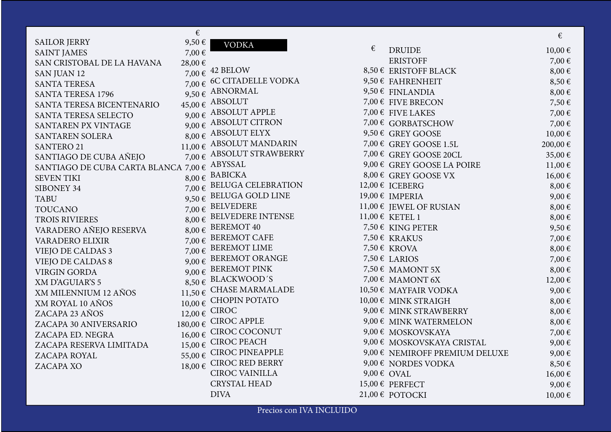|                                          | €          |                                    |   |                                         | €           |
|------------------------------------------|------------|------------------------------------|---|-----------------------------------------|-------------|
| <b>SAILOR JERRY</b>                      | 9,50€      | <b>VODKA</b>                       | € |                                         |             |
| <b>SAINT JAMES</b>                       | 7,00€      |                                    |   | <b>DRUIDE</b>                           | 10,00€      |
| SAN CRISTOBAL DE LA HAVANA               | 28,00€     |                                    |   | <b>ERISTOFF</b>                         | 7,00€       |
| <b>SAN JUAN 12</b>                       |            | 7,00 € 42 BELOW                    |   | 8,50 € ERISTOFF BLACK                   | $8,00 \in$  |
| <b>SANTA TERESA</b>                      |            | 7,00 € 6C CITADELLE VODKA          |   | 9,50 € FAHRENHEIT                       | 8,50€       |
| <b>SANTA TERESA 1796</b>                 |            | $9,50 \in$ ABNORMAL                |   | 9,50 € FINLANDIA                        | $8,00 \in$  |
| SANTA TERESA BICENTENARIO                |            | 45,00 € ABSOLUT                    |   | 7,00 € FIVE BRECON                      | 7,50€       |
| SANTA TERESA SELECTO                     |            | 9,00 $\epsilon$ ABSOLUT APPLE      |   | 7,00 € FIVE LAKES                       | 7,00€       |
| SANTAREN PX VINTAGE                      |            | 9,00 $\epsilon$ ABSOLUT CITRON     |   | 7,00 € GORBATSCHOW                      | 7,00€       |
| <b>SANTAREN SOLERA</b>                   |            | 8,00 € ABSOLUT ELYX                |   | 9,50 € GREY GOOSE                       | 10,00€      |
| <b>SANTERO 21</b>                        |            | 11,00 $\epsilon$ ABSOLUT MANDARIN  |   | 7,00 € GREY GOOSE 1.5L                  | 200,00€     |
| SANTIAGO DE CUBA AÑEJO                   |            | 7,00 $\epsilon$ ABSOLUT STRAWBERRY |   | 7,00 € GREY GOOSE 20CL                  | 35,00€      |
| SANTIAGO DE CUBA CARTA BLANCA 7,00 $\in$ |            | ABYSSAL                            |   | 9,00 € GREY GOOSE LA POIRE              | $11,00 \in$ |
| <b>SEVEN TIKI</b>                        |            | 8,00 € BABICKA                     |   | 8,00 € GREY GOOSE VX                    | 16,00€      |
| SIBONEY 34                               |            | 7,00 € BELUGA CELEBRATION          |   | 12,00 € ICEBERG                         | $8,00 \in$  |
| <b>TABU</b>                              |            | 9,50 € BELUGA GOLD LINE            |   | 19,00 € IMPERIA                         | 9,00€       |
| <b>TOUCANO</b>                           |            | 7,00 $\epsilon$ BELVEDERE          |   | 11,00 € JEWEL OF RUSIAN                 | $8,00 \in$  |
| TROIS RIVIERES                           |            | 8,00 € BELVEDERE INTENSE           |   | 11,00 € KETEL 1                         | $8,00 \in$  |
| VARADERO AÑEJO RESERVA                   | $8,00 \in$ | <b>BEREMOT 40</b>                  |   | 7,50 € KING PETER                       | 9,50€       |
| <b>VARADERO ELIXIR</b>                   | 7,00€      | <b>BEREMOT CAFE</b>                |   | 7,50 € KRAKUS                           | 7,00 €      |
| <b>VIEJO DE CALDAS 3</b>                 |            | 7,00 $\epsilon$ BEREMOT LIME       |   | 7,50 € KROVA                            | $8,00 \in$  |
| <b>VIEJO DE CALDAS 8</b>                 |            | $9,00 \in$ BEREMOT ORANGE          |   | 7,50 € LARIOS                           | 7,00 €      |
| <b>VIRGIN GORDA</b>                      |            | 9,00 € BEREMOT PINK                |   | 7,50 € MAMONT 5X                        | $8,00 \in$  |
| <b>XM D'AGUIAR'S 5</b>                   |            | $8,50 \in$ BLACKWOOD'S             |   | 7,00 € MAMONT 6X                        | 12,00€      |
| XM MILENNIUM 12 AÑOS                     |            | 11,50 $\epsilon$ CHASE MARMALADE   |   | 10,50 € MAYFAIR VODKA                   | 9,00€       |
| XM ROYAL 10 AÑOS                         |            | 10,00 € CHOPIN POTATO              |   | 10,00 € MINK STRAIGH                    | $8,00 \in$  |
| ZACAPA 23 AÑOS                           |            | $12,00 \in$ CIROC                  |   | 9,00 € MINK STRAWBERRY                  | $8,00 \in$  |
| ZACAPA 30 ANIVERSARIO                    |            | 180,00 € CIROC APPLE               |   | 9,00 € MINK WATERMELON                  | $8,00 \in$  |
| ZACAPA ED. NEGRA                         |            | $16,00 \in$ CIROC COCONUT          |   | 9,00 € MOSKOVSKAYA                      | 7,00 €      |
| ZACAPA RESERVA LIMITADA                  | 15,00€     | <b>CIROC PEACH</b>                 |   | 9,00 € MOSKOVSKAYA CRISTAL              | 9,00€       |
| ZACAPA ROYAL                             |            | 55,00 € CIROC PINEAPPLE            |   | 9,00 $\epsilon$ NEMIROFF PREMIUM DELUXE | 9,00€       |
| ZACAPA XO                                |            | 18,00 € CIROC RED BERRY            |   | 9,00 € NORDES VODKA                     | 8,50€       |
|                                          |            | <b>CIROC VAINILLA</b>              |   | $9,00 \in OVAL$                         | 16,00€      |
|                                          |            | <b>CRYSTAL HEAD</b>                |   | 15,00 € PERFECT                         | 9,00€       |
|                                          |            | <b>DIVA</b>                        |   | 21,00 € POTOCKI                         | 10,00€      |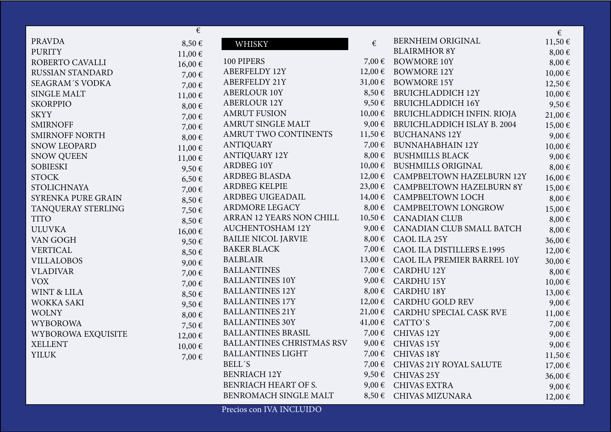|                         | €          |                                  |                 |                                    | €           |
|-------------------------|------------|----------------------------------|-----------------|------------------------------------|-------------|
| <b>PRAVDA</b>           | $8,50 \in$ | WHISKY                           | €               | <b>BERNHEIM ORIGINAL</b>           | 11,50€      |
| <b>PURITY</b>           | 11,00€     |                                  |                 | <b>BLAIRMHOR 8Y</b>                | $8,00 \in$  |
| ROBERTO CAVALLI         | 16,00€     | 100 PIPERS                       | 7,00 €          | <b>BOWMORE 10Y</b>                 | $8,00 \in$  |
| <b>RUSSIAN STANDARD</b> | 7,00 €     | <b>ABERFELDY 12Y</b>             | $12,00$ €       | <b>BOWMORE 12Y</b>                 | 10,00€      |
| <b>SEAGRAM'S VODKA</b>  | 7,00€      | <b>ABERFELDY 21Y</b>             | 31,00€          | <b>BOWMORE 15Y</b>                 | 12,50 €     |
| <b>SINGLE MALT</b>      | 11,00€     | <b>ABERLOUR 10Y</b>              | $8,50 \in$      | <b>BRUICHLADDICH 12Y</b>           | 10,00€      |
| <b>SKORPPIO</b>         | $8,00 \in$ | <b>ABERLOUR 12Y</b>              | $9,50 \in$      | <b>BRUICHLADDICH 16Y</b>           | 9,50€       |
| <b>SKYY</b>             | 7,00 €     | <b>AMRUT FUSION</b>              | $10,00 \in$     | BRUICHLADDICH INFIN. RIOJA         | 21,00€      |
| <b>SMIRNOFF</b>         | 7,00€      | AMRUT SINGLE MALT                | 9,00€           | <b>BRUICHLADDICH ISLAY B. 2004</b> | 15,00€      |
| <b>SMIRNOFF NORTH</b>   | $8,00 \in$ | AMRUT TWO CONTINENTS             | 11,50€          | <b>BUCHANANS 12Y</b>               | 9,00€       |
| <b>SNOW LEOPARD</b>     | 11,00€     | <b>ANTIQUARY</b>                 | 7,00 €          | BUNNAHABHAIN 12Y                   | 10,00€      |
| <b>SNOW QUEEN</b>       | 11,00€     | <b>ANTIQUARY 12Y</b>             | $8,00 \in$      | <b>BUSHMILLS BLACK</b>             | 9,00€       |
| <b>SOBIESKI</b>         | 9,50€      | ARDBEG 10Y                       | $10,00 \in$     | <b>BUSHMILLS ORIGINAL</b>          | $8,00 \in$  |
| <b>STOCK</b>            | $6,50 \in$ | <b>ARDBEG BLASDA</b>             | $12,00 \in$     | <b>CAMPBELTOWN HAZELBURN 12Y</b>   | 16,00€      |
| <b>STOLICHNAYA</b>      | 7,00€      | <b>ARDBEG KELPIE</b>             | 23,00€          | <b>CAMPBELTOWN HAZELBURN 8Y</b>    | 15,00€      |
| SYRENKA PURE GRAIN      | 8,50€      | ARDBEG UIGEADAIL                 | $14,00 \in$     | <b>CAMPBELTOWN LOCH</b>            | $8,00 \in$  |
| TANQUERAY STERLING      | 7,50€      | ARDMORE LEGACY                   | $8,00 \in$      | CAMPBELTOWN LONGROW                | 15,00€      |
| <b>TITO</b>             | 8,50€      | ARRAN 12 YEARS NON CHILL         | $10,50 \in$     | <b>CANADIAN CLUB</b>               | $8,00 \in$  |
| <b>ULUVKA</b>           | 16,00€     | <b>AUCHENTOSHAM 12Y</b>          | $9,00 \in$      | CANADIAN CLUB SMALL BATCH          | $8,00 \in$  |
| VAN GOGH                | 9,50€      | <b>BAILIE NICOL JARVIE</b>       | $8,00 \in$      | CAOL ILA 25Y                       | 36,00€      |
| <b>VERTICAL</b>         | 8,50€      | <b>BAKER BLACK</b>               | 7,00€           | CAOL ILA DISTILLERS E.1995         | 12,00€      |
| <b>VILLALOBOS</b>       | $9,00 \in$ | <b>BALBLAIR</b>                  | 13,00€          | CAOL ILA PREMIER BARREL 10Y        | 30,00€      |
| <b>VLADIVAR</b>         | 7,00€      | <b>BALLANTINES</b>               | 7,00 €          | <b>CARDHU 12Y</b>                  | $8,00 \in$  |
| <b>VOX</b>              | 7,00€      | <b>BALLANTINES 10Y</b>           | $9,00 \in$      | <b>CARDHU 15Y</b>                  | 10,00€      |
| <b>WINT &amp; LILA</b>  | $8,50 \in$ | <b>BALLANTINES 12Y</b>           | $8,00 \in$      | <b>CARDHU 18Y</b>                  | 13,00 €     |
| WOKKA SAKI              | 9,50€      | <b>BALLANTINES 17Y</b>           | $12,00$ €       | <b>CARDHU GOLD REV</b>             | 9,00€       |
| <b>WOLNY</b>            | $8,00 \in$ | <b>BALLANTINES 21Y</b>           | 21,00€          | CARDHU SPECIAL CASK RVE            | $11,00 \in$ |
| <b>WYBOROWA</b>         | 7,50€      | <b>BALLANTINES 30Y</b>           |                 | $41,00 \in$ CATTO`S                | 7,00 €      |
| WYBOROWA EXQUISITE      | 12,00€     | <b>BALLANTINES BRASIL</b>        | 7,00 €          | CHIVAS 12Y                         | 9,00€       |
| <b>XELLENT</b>          | 10,00€     | <b>BALLANTINES CHRISTMAS RSV</b> | $9,00 \in$      | CHIVAS 15Y                         | 9,00€       |
| <b>YILUK</b>            | 7,00€      | <b>BALLANTINES LIGHT</b>         |                 | 7,00 € CHIVAS 18Y                  | $11,50 \in$ |
|                         |            | <b>BELL'S</b>                    | 7,00 $\epsilon$ | CHIVAS 21Y ROYAL SALUTE            | 17,00€      |
|                         |            | <b>BENRIACH 12Y</b>              | $9,50 \in$      | CHIVAS 25Y                         | 36,00€      |
|                         |            | BENRIACH HEART OF S.             | $9,00 \in$      | <b>CHIVAS EXTRA</b>                | $9,00 \in$  |
|                         |            | BENROMACH SINGLE MALT            | $8,50 \in$      | <b>CHIVAS MIZUNARA</b>             | $12,00$ €   |
|                         |            | Precios con IVA INCLUIDO         |                 |                                    |             |
|                         |            |                                  |                 |                                    |             |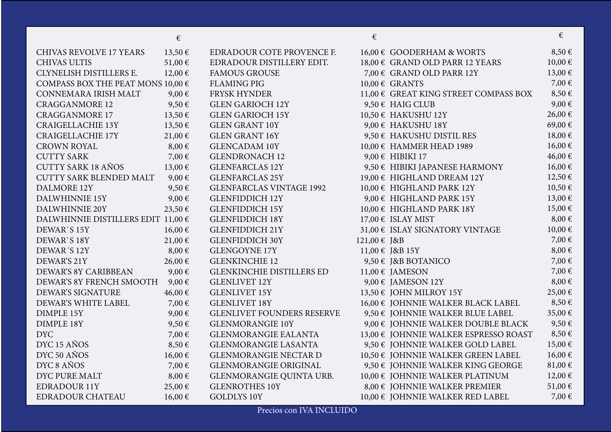|                                        | €           |                                   | €            |                                       | €          |
|----------------------------------------|-------------|-----------------------------------|--------------|---------------------------------------|------------|
| CHIVAS REVOLVE 17 YEARS                | 13,50€      | EDRADOUR COTE PROVENCE F.         |              | 16,00 € GOODERHAM & WORTS             | 8,50€      |
| <b>CHIVAS ULTIS</b>                    | 51,00€      | EDRADOUR DISTILLERY EDIT.         |              | 18,00 € GRAND OLD PARR 12 YEARS       | 10,00€     |
| CLYNELISH DISTILLERS E.                | $12,00 \in$ | <b>FAMOUS GROUSE</b>              |              | 7,00 € GRAND OLD PARR 12Y             | 13,00€     |
| COMPASS BOX THE PEAT MONS 10,00 $\in$  |             | <b>FLAMING PIG</b>                |              | $10,00 \in$ GRANTS                    | 7,00 €     |
| CONNEMARA IRISH MALT                   | 9,00€       | <b>FRYSK HYNDER</b>               |              | 11,00 € GREAT KING STREET COMPASS BOX | 8,50€      |
| <b>CRAGGANMORE 12</b>                  | 9,50€       | <b>GLEN GARIOCH 12Y</b>           |              | 9,50 € HAIG CLUB                      | 9,00€      |
| <b>CRAGGANMORE 17</b>                  | 13,50€      | <b>GLEN GARIOCH 15Y</b>           |              | 10,50 € HAKUSHU 12Y                   | 26,00€     |
| <b>CRAIGELLACHIE 13Y</b>               | 13,50€      | <b>GLEN GRANT 10Y</b>             |              | 9,00 € HAKUSHU 18Y                    | 69,00€     |
| <b>CRAIGELLACHIE 17Y</b>               | 21,00€      | <b>GLEN GRANT 16Y</b>             |              | 9,50 € HAKUSHU DISTIL RES             | 18,00€     |
| <b>CROWN ROYAL</b>                     | $8,00 \in$  | <b>GLENCADAM 10Y</b>              |              | 10,00 € HAMMER HEAD 1989              | 16,00€     |
| <b>CUTTY SARK</b>                      | 7,00€       | <b>GLENDRONACH 12</b>             |              | 9,00 € HIBIKI 17                      | 46,00€     |
| <b>CUTTY SARK 18 AÑOS</b>              | 13,00€      | <b>GLENFARCLAS 12Y</b>            |              | 9,50 € HIBIKI JAPANESE HARMONY        | 16,00€     |
| <b>CUTTY SARK BLENDED MALT</b>         | $9,00 \in$  | <b>GLENFARCLAS 25Y</b>            |              | 19,00 € HIGHLAND DREAM 12Y            | 12,50 €    |
| DALMORE 12Y                            | 9,50€       | <b>GLENFARCLAS VINTAGE 1992</b>   |              | 10,00 € HIGHLAND PARK 12Y             | 10,50€     |
| DALWHINNIE 15Y                         | $9,00 \in$  | <b>GLENFIDDICH 12Y</b>            |              | 9,00 € HIGHLAND PARK 15Y              | $13,00$ €  |
| <b>DALWHINNIE 20Y</b>                  | 23,50€      | <b>GLENFIDDICH 15Y</b>            |              | 10,00 € HIGHLAND PARK 18Y             | 15,00€     |
| DALWHINNIE DISTILLERS EDIT $11,00 \in$ |             | <b>GLENFIDDICH 18Y</b>            |              | $17,00 \in$ ISLAY MIST                | $8,00 \in$ |
| DEWAR'S 15Y                            | 16,00€      | <b>GLENFIDDICH 21Y</b>            |              | 31,00 € ISLAY SIGNATORY VINTAGE       | 10,00€     |
| DEWAR'S 18Y                            | 21,00€      | <b>GLENFIDDICH 30Y</b>            | 121,00 € J&B |                                       | 7,00 €     |
| DEWAR'S 12Y                            | $8,00 \in$  | <b>GLENGOYNE 17Y</b>              |              | 11,00 € J&B 15Y                       | 8,00€      |
| DEWAR'S 21Y                            | 26,00€      | <b>GLENKINCHIE 12</b>             |              | 9,50 € J&B BOTANICO                   | 7,00 €     |
| DEWAR'S 8Y CARIBBEAN                   | $9,00 \in$  | <b>GLENKINCHIE DISTILLERS ED</b>  |              | $11,00 \in$ JAMESON                   | 7,00€      |
| DEWAR'S 8Y FRENCH SMOOTH               | $9,00 \in$  | <b>GLENLIVET 12Y</b>              |              | 9,00 € JAMESON 12Y                    | $8,00 \in$ |
| DEWAR'S SIGNATURE                      | 46,00€      | <b>GLENLIVET 15Y</b>              |              | 13,50 € JOHN MILROY 15Y               | 25,00€     |
| DEWAR'S WHITE LABEL                    | 7,00€       | <b>GLENLIVET 18Y</b>              |              | 16,00 € JOHNNIE WALKER BLACK LABEL    | 8,50€      |
| <b>DIMPLE 15Y</b>                      | $9,00 \in$  | <b>GLENLIVET FOUNDERS RESERVE</b> |              | 9,50 € JOHNNIE WALKER BLUE LABEL      | 35,00€     |
| <b>DIMPLE 18Y</b>                      | 9,50€       | <b>GLENMORANGIE 10Y</b>           |              | 9,00 € JOHNNIE WALKER DOUBLE BLACK    | 9,50€      |
| <b>DYC</b>                             | 7,00€       | <b>GLENMORANGIE EALANTA</b>       |              | 13,00 € JOHNNIE WALKER ESPRESSO ROAST | 8,50€      |
| DYC 15 AÑOS                            | $8,50 \in$  | <b>GLENMORANGIE LASANTA</b>       |              | 9,50 € JOHNNIE WALKER GOLD LABEL      | 15,00€     |
| DYC 50 AÑOS                            | 16,00€      | <b>GLENMORANGIE NECTAR D</b>      |              | 10,50 € JOHNNIE WALKER GREEN LABEL    | 16,00€     |
| DYC 8 AÑOS                             | 7,00€       | <b>GLENMORANGIE ORIGINAL</b>      |              | 9,50 € JOHNNIE WALKER KING GEORGE     | 81,00€     |
| DYC PURE MALT                          | $8,00 \in$  | GLENMORANGIE QUINTA URB.          |              | 10,00 € JOHNNIE WALKER PLATINUM       | 12,00€     |
| <b>EDRADOUR 11Y</b>                    | 25,00€      | <b>GLENROTHES 10Y</b>             |              | 8,00 € JOHNNIE WALKER PREMIER         | 51,00€     |
| <b>EDRADOUR CHATEAU</b>                | 16,00€      | <b>GOLDLYS 10Y</b>                |              | 10,00 € JOHNNIE WALKER RED LABEL      | 7,00€      |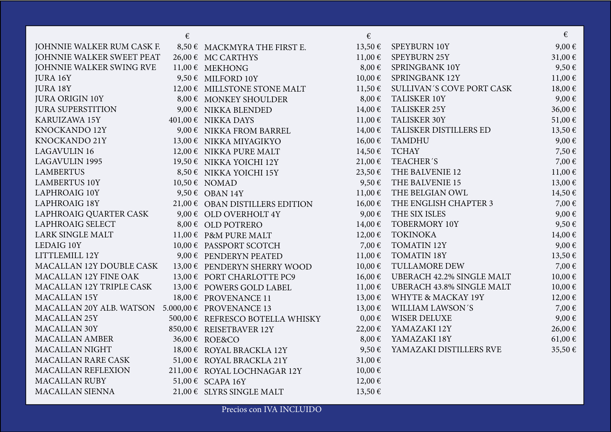|                                                   | $\epsilon$ |                                  | €           |                                  | €           |
|---------------------------------------------------|------------|----------------------------------|-------------|----------------------------------|-------------|
| JOHNNIE WALKER RUM CASK F.                        |            | 8,50 € MACKMYRA THE FIRST E.     | 13,50€      | SPEYBURN 10Y                     | 9,00€       |
| JOHNNIE WALKER SWEET PEAT                         |            | 26,00 € MC CARTHYS               | 11,00€      | SPEYBURN 25Y                     | 31,00€      |
| JOHNNIE WALKER SWING RVE                          |            | $11,00 \in$ MEKHONG              | $8,00 \in$  | SPRINGBANK 10Y                   | 9,50€       |
| JURA 16Y                                          |            | 9,50 € MILFORD 10Y               | $10,00 \in$ | SPRINGBANK 12Y                   | $11,00 \in$ |
| JURA 18Y                                          |            | 12,00 € MILLSTONE STONE MALT     | 11,50€      | SULLIVAN'S COVE PORT CASK        | 18,00€      |
| <b>JURA ORIGIN 10Y</b>                            |            | 8,00 € MONKEY SHOULDER           | $8,00 \in$  | TALISKER 10Y                     | 9,00€       |
| <b>JURA SUPERSTITION</b>                          |            | 9,00 € NIKKA BLENDED             | $14,00 \in$ | TALISKER 25Y                     | 36,00€      |
| <b>KARUIZAWA 15Y</b>                              |            | $401,00 \in$ NIKKA DAYS          | $11,00 \in$ | TALISKER 30Y                     | 51,00€      |
| KNOCKANDO 12Y                                     |            | 9,00 € NIKKA FROM BARREL         | $14,00 \in$ | TALISKER DISTILLERS ED           | 13,50€      |
| KNOCKANDO 21Y                                     |            | 13,00 € NIKKA MIYAGIKYO          | $16,00 \in$ | <b>TAMDHU</b>                    | 9,00€       |
| <b>LAGAVULIN 16</b>                               |            | 12,00 € NIKKA PURE MALT          | 14,50€      | <b>TCHAY</b>                     | 7,50€       |
| <b>LAGAVULIN 1995</b>                             |            | 19,50 € NIKKA YOICHI 12Y         | 21,00€      | TEACHER'S                        | 7,00€       |
| <b>LAMBERTUS</b>                                  |            | 8,50 € NIKKA YOICHI 15Y          | 23,50€      | THE BALVENIE 12                  | $11,00 \in$ |
| <b>LAMBERTUS 10Y</b>                              |            | 10,50 € NOMAD                    | $9,50 \in$  | THE BALVENIE 15                  | 13,00 €     |
| <b>LAPHROAIG 10Y</b>                              |            | 9,50 € OBAN 14Y                  | 11,00€      | THE BELGIAN OWL                  | $14,50 \in$ |
| <b>LAPHROAIG 18Y</b>                              |            | 21,00 € OBAN DISTILLERS EDITION  | 16,00€      | THE ENGLISH CHAPTER 3            | 7,00€       |
| LAPHROAIG QUARTER CASK                            |            | 9,00 € OLD OVERHOLT 4Y           | $9,00 \in$  | THE SIX ISLES                    | 9,00€       |
| <b>LAPHROAIG SELECT</b>                           |            | 8,00 € OLD POTRERO               | $14,00 \in$ | <b>TOBERMORY 10Y</b>             | 9,50€       |
| <b>LARK SINGLE MALT</b>                           |            | 11,00 € P&M PURE MALT            | $12,00 \in$ | <b>TOKINOKA</b>                  | $14,00 \in$ |
| LEDAIG 10Y                                        |            | 10,00 € PASSPORT SCOTCH          | 7,00€       | <b>TOMATIN 12Y</b>               | 9,00€       |
| LITTLEMILL 12Y                                    |            | 9,00 € PENDERYN PEATED           | $11,00 \in$ | <b>TOMATIN 18Y</b>               | 13,50 €     |
| MACALLAN 12Y DOUBLE CASK                          |            | 13,00 € PENDERYN SHERRY WOOD     | 10,00€      | TULLAMORE DEW                    | 7,00€       |
| MACALLAN 12Y FINE OAK                             |            | 13,00 € PORT CHARLOTTE PC9       | $16,00 \in$ | <b>UBERACH 42.2% SINGLE MALT</b> | $10,00 \in$ |
| MACALLAN 12Y TRIPLE CASK                          |            | 13,00 € POWERS GOLD LABEL        | $11,00 \in$ | <b>UBERACH 43.8% SINGLE MALT</b> | $10,00 \in$ |
| MACALLAN 15Y                                      |            | 18,00 € PROVENANCE 11            | 13,00€      | WHYTE & MACKAY 19Y               | $12,00 \in$ |
| MACALLAN 20Y ALB. WATSON 5.000,00 € PROVENANCE 13 |            |                                  | 13,00€      | WILLIAM LAWSON'S                 | 7,00 €      |
| MACALLAN <sub>25Y</sub>                           |            | 500,00 € REFRESCO BOTELLA WHISKY | $0,00 \in$  | <b>WISER DELUXE</b>              | 9,00€       |
| <b>MACALLAN 30Y</b>                               |            | 850,00 € REISETBAVER 12Y         | 22,00€      | YAMAZAKI 12Y                     | 26,00€      |
| <b>MACALLAN AMBER</b>                             |            | 36,00 € ROE&CO                   | $8,00 \in$  | YAMAZAKI 18Y                     | 61,00 €     |
| <b>MACALLAN NIGHT</b>                             |            | 18,00 € ROYAL BRACKLA 12Y        | 9,50€       | YAMAZAKI DISTILLERS RVE          | 35,50€      |
| <b>MACALLAN RARE CASK</b>                         |            | 51,00 € ROYAL BRACKLA 21Y        | 31,00€      |                                  |             |
| MACALLAN REFLEXION                                |            | 211,00 € ROYAL LOCHNAGAR 12Y     | $10,00 \in$ |                                  |             |
| <b>MACALLAN RUBY</b>                              |            | 51,00 € SCAPA 16Y                | $12,00 \in$ |                                  |             |
| <b>MACALLAN SIENNA</b>                            |            | 21,00 € SLYRS SINGLE MALT        | 13,50€      |                                  |             |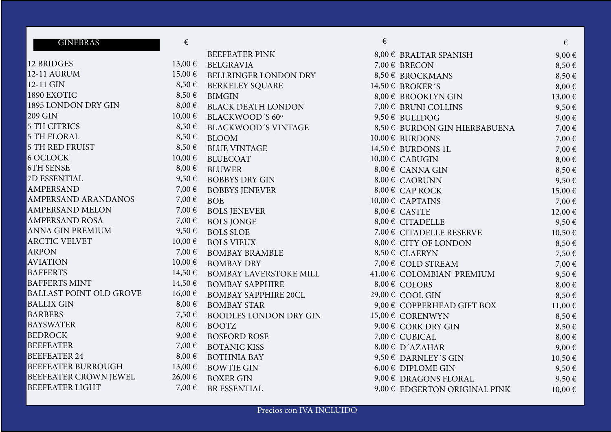| <b>GINEBRAS</b>                | $\epsilon$  |                               | € |                                | €           |
|--------------------------------|-------------|-------------------------------|---|--------------------------------|-------------|
|                                |             | <b>BEEFEATER PINK</b>         |   | 8,00 € BRALTAR SPANISH         | 9,00€       |
| 12 BRIDGES                     | 13,00€      | <b>BELGRAVIA</b>              |   | 7,00 € BRECON                  | 8,50€       |
| 12-11 AURUM                    | $15,00 \in$ | BELLRINGER LONDON DRY         |   | 8,50 € BROCKMANS               | 8,50€       |
| 12-11 GIN                      | $8,50 \in$  | <b>BERKELEY SQUARE</b>        |   | 14,50 € BROKER'S               | $8,00 \in$  |
| 1890 EXOTIC                    | $8,50 \in$  | <b>BIMGIN</b>                 |   | 8,00 € BROOKLYN GIN            | $13,00 \in$ |
| 1895 LONDON DRY GIN            | $8,00 \in$  | <b>BLACK DEATH LONDON</b>     |   | 7,00 € BRUNI COLLINS           | 9,50€       |
| 209 GIN                        | $10,00 \in$ | BLACKWOOD'S 60°               |   | 9,50 € BULLDOG                 | 9,00€       |
| <b>5 TH CITRICS</b>            | $8,50 \in$  | <b>BLACKWOOD'S VINTAGE</b>    |   | 8,50 € BURDON GIN HIERBABUENA  | 7,00€       |
| <b>5 TH FLORAL</b>             | $8,50 \in$  | <b>BLOOM</b>                  |   | $10,00 \in$ BURDONS            | 7,00€       |
| <b>5 TH RED FRUIST</b>         | $8,50 \in$  | <b>BLUE VINTAGE</b>           |   | 14,50 € BURDONS 1L             | 7,00€       |
| <b>6 OCLOCK</b>                | $10,00 \in$ | <b>BLUECOAT</b>               |   | 10,00 € CABUGIN                | $8,00 \in$  |
| <b>6TH SENSE</b>               | $8,00 \in$  | <b>BLUWER</b>                 |   | $8,00 \in$ CANNA GIN           | 8,50€       |
| 7D ESSENTIAL                   | 9,50€       | <b>BOBBYS DRY GIN</b>         |   | 8,00 € CAORUNN                 | 9,50€       |
| <b>AMPERSAND</b>               | 7,00€       | <b>BOBBYS JENEVER</b>         |   | $8,00 \in$ CAP ROCK            | 15,00 €     |
| AMPERSAND ARANDANOS            | 7,00€       | <b>BOE</b>                    |   | $10,00 \in$ CAPTAINS           | 7,00€       |
| AMPERSAND MELON                | 7,00€       | <b>BOLS JENEVER</b>           |   | $8,00 \in$ CASTLE              | $12,00 \in$ |
| <b>AMPERSAND ROSA</b>          | 7,00 €      | <b>BOLS JONGE</b>             |   | 8,00 € CITADELLE               | 9,50€       |
| ANNA GIN PREMIUM               | $9,50 \in$  | <b>BOLS SLOE</b>              |   | 7,00 € CITADELLE RESERVE       | 10,50€      |
| <b>ARCTIC VELVET</b>           | 10,00€      | <b>BOLS VIEUX</b>             |   | 8,00 € CITY OF LONDON          | $8,50 \in$  |
| <b>ARPON</b>                   | 7,00€       | <b>BOMBAY BRAMBLE</b>         |   | 8,50 € CLAERYN                 | 7,50€       |
| <b>AVIATION</b>                | $10,00 \in$ | <b>BOMBAY DRY</b>             |   | 7,00 € COLD STREAM             | 7,00€       |
| <b>BAFFERTS</b>                | 14,50€      | <b>BOMBAY LAVERSTOKE MILL</b> |   | 41,00 € COLOMBIAN PREMIUM      | 9,50€       |
| <b>BAFFERTS MINT</b>           | 14,50€      | <b>BOMBAY SAPPHIRE</b>        |   | 8,00 € COLORS                  | $8,00 \in$  |
| <b>BALLAST POINT OLD GROVE</b> | $16,00 \in$ | <b>BOMBAY SAPPHIRE 20CL</b>   |   | 29,00 € COOL GIN               | 8,50€       |
| <b>BALLIX GIN</b>              | $8,00 \in$  | <b>BOMBAY STAR</b>            |   | 9,00 € COPPERHEAD GIFT BOX     | $11,00 \in$ |
| <b>BARBERS</b>                 | 7,50€       | <b>BOODLES LONDON DRY GIN</b> |   | 15,00 € CORENWYN               | 8,50€       |
| <b>BAYSWATER</b>               | $8,00 \in$  | <b>BOOTZ</b>                  |   | 9,00 € CORK DRY GIN            | 8,50€       |
| <b>BEDROCK</b>                 | 9,00€       | <b>BOSFORD ROSE</b>           |   | 7,00 € CUBICAL                 | $8,00 \in$  |
| <b>BEEFEATER</b>               | 7,00 €      | <b>BOTANIC KISS</b>           |   | $8,00 \in D'AZAHAR$            | 9,00€       |
| <b>BEEFEATER 24</b>            | $8,00 \in$  | <b>BOTHNIA BAY</b>            |   | 9,50 € DARNLEY'S GIN           | 10,50€      |
| BEEFEATER BURROUGH             | 13,00€      | <b>BOWTIE GIN</b>             |   | $6,00 \in$ DIPLOME GIN         | 9,50€       |
| BEEFEATER CROWN JEWEL          | 26,00€      | <b>BOXER GIN</b>              |   | 9,00 $\epsilon$ DRAGONS FLORAL | 9,50€       |
| <b>BEEFEATER LIGHT</b>         | 7,00€       | <b>BR ESSENTIAL</b>           |   | 9,00 € EDGERTON ORIGINAL PINK  | $10,00 \in$ |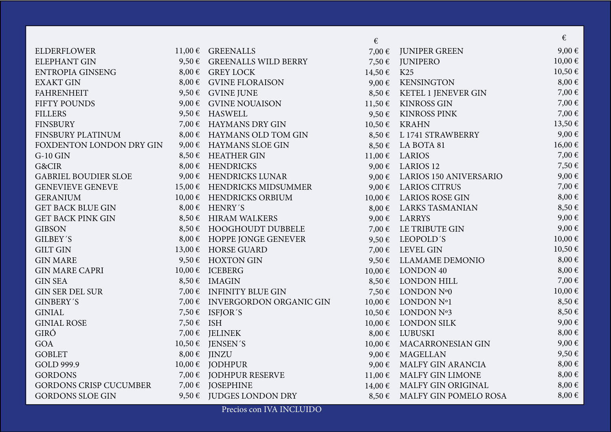|                               |            |                                | €           |                               | €           |
|-------------------------------|------------|--------------------------------|-------------|-------------------------------|-------------|
| <b>ELDERFLOWER</b>            |            | 11,00 € GREENALLS              | 7,00€       | <b>JUNIPER GREEN</b>          | 9,00€       |
| <b>ELEPHANT GIN</b>           | $9,50 \in$ | <b>GREENALLS WILD BERRY</b>    | 7,50€       | <b>JUNIPERO</b>               | $10,00 \in$ |
| <b>ENTROPIA GINSENG</b>       |            | $8,00 \in$ GREY LOCK           | 14,50€      | K <sub>25</sub>               | 10,50€      |
| <b>EXAKT GIN</b>              |            | 8,00 € GVINE FLORAISON         | $9,00 \in$  | <b>KENSINGTON</b>             | $8,00 \in$  |
| <b>FAHRENHEIT</b>             |            | 9,50 € GVINE JUNE              | $8,50 \in$  | KETEL 1 JENEVER GIN           | 7,00€       |
| FIFTY POUNDS                  |            | 9,00 $\epsilon$ GVINE NOUAISON | 11,50€      | <b>KINROSS GIN</b>            | 7,00€       |
| <b>FILLERS</b>                |            | 9,50 $\epsilon$ HASWELL        | 9,50€       | <b>KINROSS PINK</b>           | 7,00€       |
| <b>FINSBURY</b>               |            | 7,00 € HAYMANS DRY GIN         | 10,50€      | <b>KRAHN</b>                  | 13,50 €     |
| FINSBURY PLATINUM             |            | 8,00 € HAYMANS OLD TOM GIN     | $8,50 \in$  | L 1741 STRAWBERRY             | 9,00€       |
| FOXDENTON LONDON DRY GIN      |            | 9,00 € HAYMANS SLOE GIN        | $8,50 \in$  | LA BOTA 81                    | 16,00€      |
| $G-10$ $GIN$                  |            | 8,50 € HEATHER GIN             | 11,00€      | <b>LARIOS</b>                 | 7,00€       |
| G&CIR                         |            | 8,00 € HENDRICKS               | $9,00 \in$  | <b>LARIOS 12</b>              | 7,50€       |
| <b>GABRIEL BOUDIER SLOE</b>   |            | 9,00 € HENDRICKS LUNAR         | $9,00 \in$  | <b>LARIOS 150 ANIVERSARIO</b> | 9,00€       |
| <b>GENEVIEVE GENEVE</b>       |            | 15,00 € HENDRICKS MIDSUMMER    | $9,00 \in$  | <b>LARIOS CITRUS</b>          | 7,00€       |
| <b>GERANIUM</b>               |            | 10,00 € HENDRICKS ORBIUM       | $10,00 \in$ | <b>LARIOS ROSE GIN</b>        | $8,00 \in$  |
| <b>GET BACK BLUE GIN</b>      |            | $8,00 \in$ HENRY'S             | $8,00 \in$  | LARKS TASMANIAN               | 8,50€       |
| <b>GET BACK PINK GIN</b>      |            | 8,50 € HIRAM WALKERS           | $9,00 \in$  | LARRYS                        | 9,00€       |
| <b>GIBSON</b>                 |            | 8,50 € HOOGHOUDT DUBBELE       | 7,00 €      | LE TRIBUTE GIN                | 9,00€       |
| GILBEY'S                      |            | 8,00 € HOPPE JONGE GENEVER     | $9,50 \in$  | LEOPOLD'S                     | $10,00 \in$ |
| <b>GILT GIN</b>               | 13,00€     | <b>HORSE GUARD</b>             | 7,00€       | <b>LEVEL GIN</b>              | 10,50€      |
| <b>GIN MARE</b>               |            | 9,50 $\epsilon$ HOXTON GIN     | 9,50€       | LLAMAME DEMONIO               | $8,00 \in$  |
| <b>GIN MARE CAPRI</b>         |            | 10,00 € ICEBERG                | $10,00 \in$ | LONDON 40                     | $8,00 \in$  |
| <b>GIN SEA</b>                |            | $8,50 \in$ IMAGIN              | $8,50 \in$  | LONDON HILL                   | 7,00€       |
| <b>GIN SER DEL SUR</b>        |            | 7,00 € INFINITY BLUE GIN       | 7,50€       | LONDON Nº0                    | 10,00€      |
| <b>GINBERY'S</b>              |            | 7,00 € INVERGORDON ORGANIC GIN | $10,00 \in$ | LONDON Nº1                    | 8,50€       |
| <b>GINIAL</b>                 |            | 7,50 € ISFJOR'S                | 10,50€      | LONDON Nº3                    | 8,50€       |
| <b>GINIAL ROSE</b>            | 7,50 € ISH |                                | 10,00€      | <b>LONDON SILK</b>            | 9,00€       |
| GIRÓ                          | 7,00 €     | <b>JELINEK</b>                 | $8,00 \in$  | <b>LUBUSKI</b>                | $8,00 \in$  |
| GOA                           | 10,50€     | <b>JENSEN'S</b>                | 10,00€      | MACARRONESIAN GIN             | 9,00€       |
| <b>GOBLET</b>                 |            | $8,00 \in$ JINZU               | $9,00 \in$  | <b>MAGELLAN</b>               | 9,50€       |
| GOLD 999.9                    |            | $10,00 \in$ JODHPUR            | $9,00 \in$  | MALFY GIN ARANCIA             | $8,00 \in$  |
| <b>GORDONS</b>                |            | 7,00 € JODHPUR RESERVE         | $11,00 \in$ | MALFY GIN LIMONE              | $8,00 \in$  |
| <b>GORDONS CRISP CUCUMBER</b> |            | 7,00 € JOSEPHINE               | 14,00€      | MALFY GIN ORIGINAL            | $8,00 \in$  |
| <b>GORDONS SLOE GIN</b>       |            | 9,50 € JUDGES LONDON DRY       | $8,50 \in$  | MALFY GIN POMELO ROSA         | $8,00 \in$  |

Precios con IVA INCLUIDO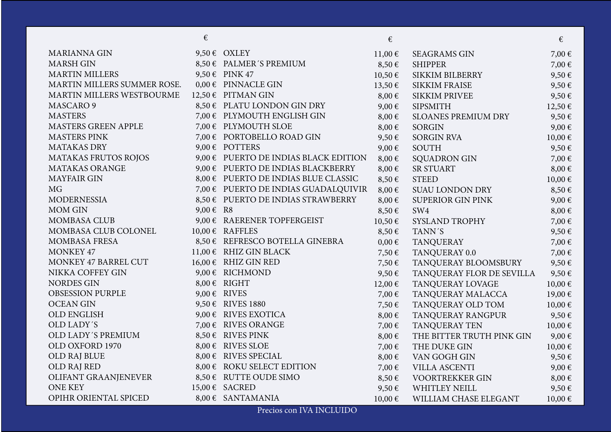|                             | €         |                                       | €           |                            | €           |
|-----------------------------|-----------|---------------------------------------|-------------|----------------------------|-------------|
| <b>MARIANNA GIN</b>         |           | 9,50 $\epsilon$ OXLEY                 | $11,00 \in$ | <b>SEAGRAMS GIN</b>        | 7,00€       |
| <b>MARSH GIN</b>            |           | 8,50 € PALMER'S PREMIUM               | $8,50 \in$  | <b>SHIPPER</b>             | 7,00€       |
| <b>MARTIN MILLERS</b>       |           | 9,50 € PINK 47                        | 10,50€      | <b>SIKKIM BILBERRY</b>     | 9,50€       |
| MARTIN MILLERS SUMMER ROSE. |           | $0,00 \in$ PINNACLE GIN               | 13,50€      | <b>SIKKIM FRAISE</b>       | 9,50€       |
| MARTIN MILLERS WESTBOURME   |           | 12,50 € PITMAN GIN                    | $8,00 \in$  | <b>SIKKIM PRIVEE</b>       | 9,50€       |
| MASCARO <sub>9</sub>        |           | 8,50 € PLATU LONDON GIN DRY           | $9,00 \in$  | <b>SIPSMITH</b>            | 12,50€      |
| <b>MASTERS</b>              |           | 7,00 € PLYMOUTH ENGLISH GIN           | $8,00 \in$  | <b>SLOANES PREMIUM DRY</b> | 9,50€       |
| MASTERS GREEN APPLE         |           | 7,00 € PLYMOUTH SLOE                  | $8,00 \in$  | <b>SORGIN</b>              | 9,00€       |
| <b>MASTERS PINK</b>         |           | 7,00 € PORTOBELLO ROAD GIN            | 9,50€       | <b>SORGIN RVA</b>          | 10,00€      |
| <b>MATAKAS DRY</b>          |           | 9,00 $\epsilon$ POTTERS               | $9,00 \in$  | <b>SOUTH</b>               | 9,50€       |
| <b>MATAKAS FRUTOS ROJOS</b> |           | 9,00 € PUERTO DE INDIAS BLACK EDITION | $8,00 \in$  | <b>SQUADRON GIN</b>        | 7,00€       |
| <b>MATAKAS ORANGE</b>       |           | 9,00 € PUERTO DE INDIAS BLACKBERRY    | $8,00 \in$  | <b>SR STUART</b>           | $8,00 \in$  |
| <b>MAYFAIR GIN</b>          |           | 8,00 € PUERTO DE INDIAS BLUE CLASSIC  | $8,50 \in$  | <b>STEED</b>               | 10,00€      |
| <b>MG</b>                   |           | 7,00 € PUERTO DE INDIAS GUADALQUIVIR  | $8,00 \in$  | <b>SUAU LONDON DRY</b>     | $8,50 \in$  |
| <b>MODERNESSIA</b>          |           | 8,50 € PUERTO DE INDIAS STRAWBERRY    | $8,00 \in$  | <b>SUPERIOR GIN PINK</b>   | 9,00€       |
| <b>MOM GIN</b>              | 9,00 € R8 |                                       | 8,50€       | SW4                        | $8,00 \in$  |
| <b>MOMBASA CLUB</b>         |           | 9,00 $\epsilon$ RAERENER TOPFERGEIST  | 10,50€      | SYSLAND TROPHY             | 7,00€       |
| MOMBASA CLUB COLONEL        |           | $10,00 \in$ RAFFLES                   | 8,50€       | TANN'S                     | 9,50€       |
| <b>MOMBASA FRESA</b>        |           | 8,50 € REFRESCO BOTELLA GINEBRA       | $0,00 \in$  | <b>TANQUERAY</b>           | 7,00 €      |
| <b>MONKEY 47</b>            |           | 11,00 € RHIZ GIN BLACK                | 7,50€       | TANQUERAY 0.0              | 7,00 €      |
| MONKEY 47 BARREL CUT        |           | $16,00 \in$ RHIZ GIN RED              | 7,50€       | TANQUERAY BLOOMSBURY       | 9,50€       |
| NIKKA COFFEY GIN            |           | 9,00 € RICHMOND                       | 9,50€       | TANQUERAY FLOR DE SEVILLA  | 9,50€       |
| <b>NORDES GIN</b>           |           | $8,00 \in$ RIGHT                      | $12,00 \in$ | TANQUERAY LOVAGE           | 10,00€      |
| <b>OBSESSION PURPLE</b>     |           | 9,00 $\epsilon$ RIVES                 | 7,00€       | TANQUERAY MALACCA          | 19,00€      |
| <b>OCEAN GIN</b>            |           | 9,50 € RIVES 1880                     | 7,50€       | TANQUERAY OLD TOM          | $10,00 \in$ |
| <b>OLD ENGLISH</b>          |           | 9,00 $\epsilon$ RIVES EXOTICA         | $8,00 \in$  | TANQUERAY RANGPUR          | 9,50€       |
| <b>OLD LADY'S</b>           |           | 7,00 € RIVES ORANGE                   | 7,00€       | TANQUERAY TEN              | 10,00€      |
| OLD LADY'S PREMIUM          |           | 8,50 € RIVES PINK                     | $8,00 \in$  | THE BITTER TRUTH PINK GIN  | 9,00€       |
| OLD OXFORD 1970             |           | 8,00 € RIVES SLOE                     | 7,00€       | THE DUKE GIN               | 10,00€      |
| OLD RAJ BLUE                |           | 8,00 € RIVES SPECIAL                  | $8,00 \in$  | VAN GOGH GIN               | 9,50€       |
| OLD RAJ RED                 |           | 8,00 € ROKU SELECT EDITION            | 7,00€       | <b>VILLA ASCENTI</b>       | 9,00€       |
| OLIFANT GRAANJENEVER        |           | 8,50 € RUTTE OUDE SIMO                | 8,50€       | <b>VOORTREKKER GIN</b>     | $8,00 \in$  |
| <b>ONE KEY</b>              |           | 15,00 € SACRED                        | 9,50€       | <b>WHITLEY NEILL</b>       | 9,50€       |
| OPIHR ORIENTAL SPICED       |           | $8,00 \in$ SANTAMANIA                 | 10,00€      | WILLIAM CHASE ELEGANT      | 10,00€      |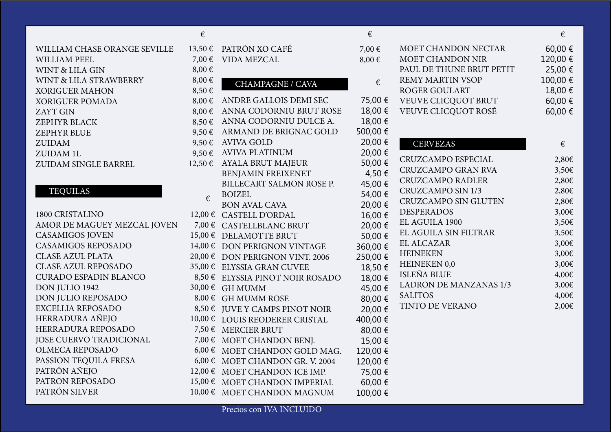## WILLIAM CHASE ORANGE SEVILLE WILLIAM PEEL WINT & LILA GIN WINT & LILA STRAWBERRY XORIGUER MAHON XORIGUER POMADA ZAYT GIN ZEPHYR BLACK ZEPHYR BLUE ZUIDAM ZUIDAM 1L ZUIDAM SINGLE BARREL

## TEQUILAS

| €          |                                                | €                 |                               | €      |
|------------|------------------------------------------------|-------------------|-------------------------------|--------|
| 13,50€     | PATRÓN XO CAFÉ                                 | 7,00€             | MOET CHANDON NECTAR           | 60,00  |
| 7,00 €     | <b>VIDA MEZCAL</b>                             | 8,00€             | MOET CHANDON NIR              | 120,00 |
| $8,00 \in$ |                                                |                   | PAUL DE THUNE BRUT PETIT      | 25,00  |
| $8,00 \in$ | <b>CHAMPAGNE / CAVA</b>                        | €                 | <b>REMY MARTIN VSOP</b>       | 100,00 |
| 8,50€      |                                                |                   | <b>ROGER GOULART</b>          | 18,00  |
| $8,00 \in$ | ANDRE GALLOIS DEMI SEC                         | 75,00 €           | VEUVE CLICQUOT BRUT           | 60,00  |
| $8,00 \in$ | ANNA CODORNIU BRUT ROSE                        | 18,00 €           | VEUVE CLICQUOT ROSÉ           | 60,00  |
| $8,50 \in$ | ANNA CODORNIU DULCE A.                         | 18,00 €           |                               |        |
| $9,50 \in$ | ARMAND DE BRIGNAC GOLD                         | 500,00€           |                               |        |
| 9,50€      | <b>AVIVA GOLD</b>                              | 20,00 €           | <b>CERVEZAS</b>               | €      |
| 9,50€      | <b>AVIVA PLATINUM</b>                          | 20,00 €           | CRUZCAMPO ESPECIAL            | 2,8    |
| 12,50 €    | <b>AYALA BRUT MAJEUR</b>                       | 50,00 €<br>4,50 € | CRUZCAMPO GRAN RVA            | 3,5    |
|            | BENJAMIN FREIXENET<br>BILLECART SALMON ROSE P. | 45,00 €           | <b>CRUZCAMPO RADLER</b>       | 2,8    |
|            | <b>BOIZEL</b>                                  | 54,00 €           | <b>CRUZCAMPO SIN 1/3</b>      | 2,8    |
| €          | <b>BON AVAL CAVA</b>                           | 20,00 €           | <b>CRUZCAMPO SIN GLUTEN</b>   | 2,8    |
|            | 12,00 € CASTELL D'ORDAL                        | 16,00 €           | <b>DESPERADOS</b>             | 3,0    |
|            | 7,00 € CASTELLBLANC BRUT                       | 20,00 €           | EL AGUILA 1900                | 3,5    |
|            | 15,00 € DELAMOTTE BRUT                         | 50,00 €           | EL AGUILA SIN FILTRAR         | 3,5    |
|            | 14,00 € DON PERIGNON VINTAGE                   | 360,00 €          | EL ALCAZAR                    | 3,0    |
|            | 20,00 € DON PERIGNON VINT. 2006                | 250,00 €          | <b>HEINEKEN</b>               | 3,0    |
|            | 35,00 € ELYSSIA GRAN CUVEE                     | 18,50€            | HEINEKEN 0,0                  | 3,0    |
|            | 8,50 € ELYSSIA PINOT NOIR ROSADO               | 18,00 €           | <b>ISLEÑA BLUE</b>            | 4,0    |
|            | 30,00 € GH MUMM                                | 45,00 €           | <b>LADRON DE MANZANAS 1/3</b> | 3,0    |
|            | 8,00 € GH MUMM ROSE                            | 80,00 €           | <b>SALITOS</b>                | 4,0    |
|            | 8,50 € JUVE Y CAMPS PINOT NOIR                 | 20,00 €           | TINTO DE VERANO               | 2,0    |
|            | 10,00 € LOUIS REODERER CRISTAL                 | 400,00€           |                               |        |
| 7,50€      | <b>MERCIER BRUT</b>                            | 80,00 €           |                               |        |
|            | 7,00 € MOET CHANDON BENJ.                      | 15,00 €           |                               |        |
| $6,00 \in$ | MOET CHANDON GOLD MAG.                         | 120,00 €          |                               |        |
|            | 6,00 € MOET CHANDON GR. V. 2004                | 120,00€           |                               |        |
|            | 12,00 € MOET CHANDON ICE IMP.                  | 75,00 €           |                               |        |
|            | 15,00 € MOET CHANDON IMPERIAL                  | 60,00 €           |                               |        |
|            | 10,00 € MOET CHANDON MAGNUM                    | 100,00€           |                               |        |
|            |                                                |                   |                               |        |

Precios con IVA INCLUIDO

| <b>MOET CHANDON NECTAR</b>    | 60,00 €  |
|-------------------------------|----------|
| <b>MOET CHANDON NIR</b>       | 120,00 € |
| PAUL DE THUNE BRUT PETIT      | 25,00 €  |
| <b>REMY MARTIN VSOP</b>       | 100,00€  |
| <b>ROGER GOULART</b>          | 18,00 €  |
| VEUVE CLICQUOT BRUT           | 60,00 €  |
| <b>VEUVE CLICQUOT ROSÉ</b>    | 60,00 €  |
|                               |          |
|                               |          |
| <b>CERVEZAS</b>               | €        |
| CRUZCAMPO ESPECIAL            | 2,80€    |
| <b>CRUZCAMPO GRAN RVA</b>     | 3,50€    |
| <b>CRUZCAMPO RADLER</b>       | 2,80€    |
| <b>CRUZCAMPO SIN 1/3</b>      | 2,80€    |
| <b>CRUZCAMPO SIN GLUTEN</b>   | 2,80€    |
| <b>DESPERADOS</b>             | 3,00€    |
| EL AGUILA 1900                | 3,50€    |
| EL AGUILA SIN FILTRAR         | 3,50€    |
| <b>EL ALCAZAR</b>             | 3,00€    |
| <b>HEINEKEN</b>               | 3,00€    |
| <b>HEINEKEN 0,0</b>           | 3,00€    |
| <b>ISLEÑA BLUE</b>            | 4,00€    |
| <b>LADRON DE MANZANAS 1/3</b> | 3,00€    |
| <b>SALITOS</b>                | 4,00€    |
| <b>TINTO DE VERANO</b>        | 2,00€    |
|                               |          |
|                               |          |
|                               |          |
|                               |          |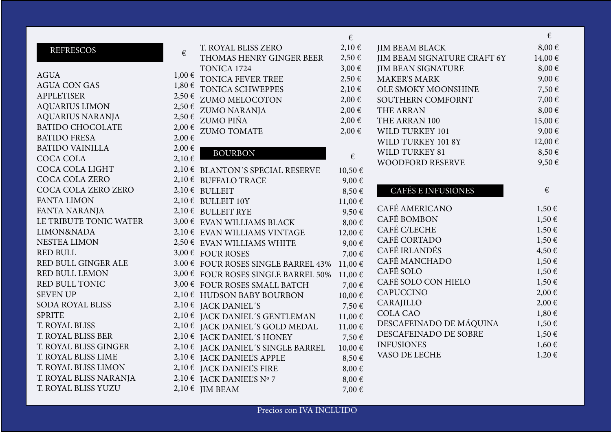|                                                      |                                                                                                                                                                                                                                                                                                         |                                                                                                   | €                                                                                                                                                                                                                                                                                                                     |
|------------------------------------------------------|---------------------------------------------------------------------------------------------------------------------------------------------------------------------------------------------------------------------------------------------------------------------------------------------------------|---------------------------------------------------------------------------------------------------|-----------------------------------------------------------------------------------------------------------------------------------------------------------------------------------------------------------------------------------------------------------------------------------------------------------------------|
| T. ROYAL BLISS ZERO                                  | 2,10€                                                                                                                                                                                                                                                                                                   | <b>JIM BEAM BLACK</b>                                                                             | $8,00 \in$                                                                                                                                                                                                                                                                                                            |
| THOMAS HENRY GINGER BEER                             | $2,50 \in$                                                                                                                                                                                                                                                                                              | JIM BEAM SIGNATURE CRAFT 6Y                                                                       | 14,00€                                                                                                                                                                                                                                                                                                                |
| TONICA 1724                                          | $3,00 \in$                                                                                                                                                                                                                                                                                              | <b>JIM BEAN SIGNATURE</b>                                                                         | $8,00 \in$                                                                                                                                                                                                                                                                                                            |
| TONICA FEVER TREE                                    | $2,50 \in$                                                                                                                                                                                                                                                                                              | <b>MAKER'S MARK</b>                                                                               | 9,00€                                                                                                                                                                                                                                                                                                                 |
| TONICA SCHWEPPES                                     | 2,10€                                                                                                                                                                                                                                                                                                   | OLE SMOKY MOONSHINE                                                                               | 7,50€                                                                                                                                                                                                                                                                                                                 |
| ZUMO MELOCOTON                                       | 2,00€                                                                                                                                                                                                                                                                                                   | SOUTHERN COMFORNT                                                                                 | 7,00€                                                                                                                                                                                                                                                                                                                 |
|                                                      | $2,00 \in$                                                                                                                                                                                                                                                                                              | THE ARRAN                                                                                         | $8,00 \in$                                                                                                                                                                                                                                                                                                            |
| <b>ZUMO PIÑA</b>                                     | $2,00 \in$                                                                                                                                                                                                                                                                                              | THE ARRAN 100                                                                                     | 15,00€                                                                                                                                                                                                                                                                                                                |
| <b>ZUMO TOMATE</b>                                   | $2,00 \in$                                                                                                                                                                                                                                                                                              | WILD TURKEY 101                                                                                   | 9,00€                                                                                                                                                                                                                                                                                                                 |
|                                                      |                                                                                                                                                                                                                                                                                                         | WILD TURKEY 101 8Y                                                                                | 12,00€                                                                                                                                                                                                                                                                                                                |
|                                                      |                                                                                                                                                                                                                                                                                                         | WILD TURKEY 81                                                                                    | 8,50€                                                                                                                                                                                                                                                                                                                 |
|                                                      |                                                                                                                                                                                                                                                                                                         | <b>WOODFORD RESERVE</b>                                                                           | 9,50€                                                                                                                                                                                                                                                                                                                 |
|                                                      |                                                                                                                                                                                                                                                                                                         |                                                                                                   |                                                                                                                                                                                                                                                                                                                       |
|                                                      | $9,00 \in$                                                                                                                                                                                                                                                                                              |                                                                                                   |                                                                                                                                                                                                                                                                                                                       |
|                                                      |                                                                                                                                                                                                                                                                                                         |                                                                                                   | €                                                                                                                                                                                                                                                                                                                     |
|                                                      |                                                                                                                                                                                                                                                                                                         |                                                                                                   |                                                                                                                                                                                                                                                                                                                       |
|                                                      |                                                                                                                                                                                                                                                                                                         |                                                                                                   | $1,50 \in$                                                                                                                                                                                                                                                                                                            |
|                                                      |                                                                                                                                                                                                                                                                                                         |                                                                                                   | $1,50 \in$                                                                                                                                                                                                                                                                                                            |
|                                                      | 12,00€                                                                                                                                                                                                                                                                                                  |                                                                                                   | $1,50 \in$                                                                                                                                                                                                                                                                                                            |
| $2,50 \in$ EVAN WILLIAMS WHITE                       | $9,00 \in$                                                                                                                                                                                                                                                                                              |                                                                                                   | $1,50 \in$                                                                                                                                                                                                                                                                                                            |
|                                                      | 7,00€                                                                                                                                                                                                                                                                                                   |                                                                                                   | 4,50€                                                                                                                                                                                                                                                                                                                 |
|                                                      | $11,00 \in$                                                                                                                                                                                                                                                                                             |                                                                                                   | $1,50 \in$                                                                                                                                                                                                                                                                                                            |
| 3,00 € FOUR ROSES SINGLE BARREL 50%                  | $11,00 \in$                                                                                                                                                                                                                                                                                             |                                                                                                   | $1,50 \in$                                                                                                                                                                                                                                                                                                            |
| 3,00 € FOUR ROSES SMALL BATCH                        | 7,00€                                                                                                                                                                                                                                                                                                   |                                                                                                   | $1,50 \in$                                                                                                                                                                                                                                                                                                            |
| 2,10 € HUDSON BABY BOURBON                           | 10,00€                                                                                                                                                                                                                                                                                                  |                                                                                                   | $2,00 \in$                                                                                                                                                                                                                                                                                                            |
| $2,10 \in$ JACK DANIEL'S                             | 7,50€                                                                                                                                                                                                                                                                                                   |                                                                                                   | $2,00 \in$                                                                                                                                                                                                                                                                                                            |
| 2,10 € JACK DANIEL'S GENTLEMAN                       | 11,00€                                                                                                                                                                                                                                                                                                  |                                                                                                   | $1,80 \in$                                                                                                                                                                                                                                                                                                            |
| 2,10 € JACK DANIEL'S GOLD MEDAL                      | 11,00€                                                                                                                                                                                                                                                                                                  |                                                                                                   | $1,50 \in$                                                                                                                                                                                                                                                                                                            |
| 2,10 € JACK DANIEL'S HONEY                           | 7,50€                                                                                                                                                                                                                                                                                                   |                                                                                                   | $1,50 \in$                                                                                                                                                                                                                                                                                                            |
|                                                      | 10,00€                                                                                                                                                                                                                                                                                                  |                                                                                                   | $1,60 \in$                                                                                                                                                                                                                                                                                                            |
| 2,10 € JACK DANIEL'S APPLE                           | 8,50€                                                                                                                                                                                                                                                                                                   |                                                                                                   | $1,20 \in$                                                                                                                                                                                                                                                                                                            |
| 2,10 € JACK DANIEL'S FIRE                            | $8,00 \in$                                                                                                                                                                                                                                                                                              |                                                                                                   |                                                                                                                                                                                                                                                                                                                       |
| 2,10 € JACK DANIEL'S N° 7                            | $8,00 \in$                                                                                                                                                                                                                                                                                              |                                                                                                   |                                                                                                                                                                                                                                                                                                                       |
| $2,10 \in$ JIM BEAM                                  | 7,00€                                                                                                                                                                                                                                                                                                   |                                                                                                   |                                                                                                                                                                                                                                                                                                                       |
| $1,00 \in$<br>$2,50 \in$<br>$2,50 \in$<br>$2,10 \in$ | $1,80 \in$<br>ZUMO NARANJA<br><b>BOURBON</b><br>2,10 € BLANTON'S SPECIAL RESERVE<br>2,10 € BUFFALO TRACE<br>$2,10 \in$ BULLEIT<br>2,10 € BULLEIT 10Y<br>$2,10 \in$ BULLEIT RYE<br>3,00 € EVAN WILLIAMS BLACK<br>2,10 € EVAN WILLIAMS VINTAGE<br>3,00 € FOUR ROSES<br>2,10 € JACK DANIEL'S SINGLE BARREL | €<br>€<br>10,50€<br>8,50€<br>11,00€<br>9,50€<br>$8,00 \in$<br>3.00 € FOUR ROSES SINGLE BARREL 43% | <b>CAFÉS E INFUSIONES</b><br>CAFÉ AMERICANO<br><b>CAFÉ BOMBON</b><br>CAFÉ C/LECHE<br>CAFÉ CORTADO<br>CAFÉ IRLANDÉS<br>CAFÉ MANCHADO<br>CAFÉ SOLO<br>CAFÉ SOLO CON HIELO<br><b>CAPUCCINO</b><br>CARAJILLO<br><b>COLA CAO</b><br>DESCAFEINADO DE MÁQUINA<br>DESCAFEINADO DE SOBRE<br><b>INFUSIONES</b><br>VASO DE LECHE |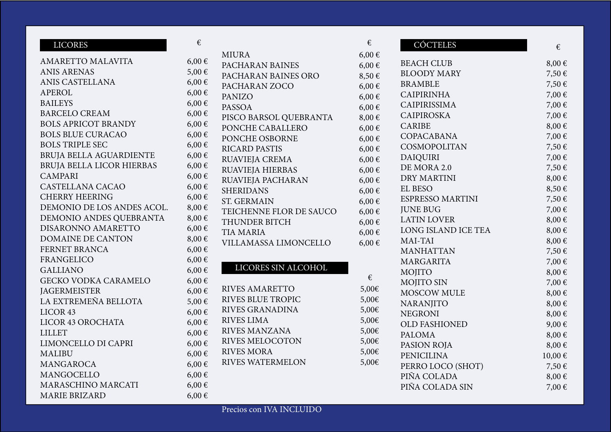| <b>LICORES</b>              | €          |                          | €          | CÓCTELES             | €          |
|-----------------------------|------------|--------------------------|------------|----------------------|------------|
|                             |            | <b>MIURA</b>             | $6,00 \in$ |                      |            |
| AMARETTO MALAVITA           | $6,00 \in$ | PACHARAN BAINES          | $6,00 \in$ | <b>BEACH CLUB</b>    | $8,00 \in$ |
| <b>ANIS ARENAS</b>          | 5,00€      | PACHARAN BAINES ORO      | $8,50 \in$ | <b>BLOODY MARY</b>   | 7,50€      |
| ANIS CASTELLANA             | $6,00 \in$ | PACHARAN ZOCO            | $6,00 \in$ | <b>BRAMBLE</b>       | 7,50€      |
| <b>APEROL</b>               | $6,00 \in$ | <b>PANIZO</b>            | $6,00 \in$ | <b>CAIPIRINHA</b>    | 7,00€      |
| <b>BAILEYS</b>              | $6,00 \in$ | <b>PASSOA</b>            | $6,00 \in$ | CAIPIRISSIMA         | 7,00€      |
| <b>BARCELO CREAM</b>        | $6,00 \in$ | PISCO BARSOL QUEBRANTA   | $8,00 \in$ | <b>CAIPIROSKA</b>    | 7,00€      |
| <b>BOLS APRICOT BRANDY</b>  | $6,00 \in$ | PONCHE CABALLERO         | $6,00 \in$ | <b>CARIBE</b>        | $8,00 \in$ |
| <b>BOLS BLUE CURACAO</b>    | $6,00 \in$ | PONCHE OSBORNE           | $6,00 \in$ | COPACABANA           | 7,00€      |
| <b>BOLS TRIPLE SEC</b>      | $6,00 \in$ | <b>RICARD PASTIS</b>     | $6,00 \in$ | COSMOPOLITAN         | 7,50€      |
| BRUJA BELLA AGUARDIENTE     | $6,00 \in$ | <b>RUAVIEJA CREMA</b>    | $6,00 \in$ | <b>DAIQUIRI</b>      | 7,00€      |
| BRUJA BELLA LICOR HIERBAS   | $6,00 \in$ | <b>RUAVIEJA HIERBAS</b>  | $6,00 \in$ | DE MORA 2.0          | 7,50€      |
| <b>CAMPARI</b>              | $6,00 \in$ | RUAVIEJA PACHARAN        | $6,00 \in$ | <b>DRY MARTINI</b>   | $8,00 \in$ |
| CASTELLANA CACAO            | $6,00 \in$ | <b>SHERIDANS</b>         | $6,00 \in$ | <b>EL BESO</b>       | 8,50€      |
| <b>CHERRY HEERING</b>       | $6,00 \in$ | <b>ST. GERMAIN</b>       | $6,00 \in$ | ESPRESSO MARTINI     | 7,50€      |
| DEMONIO DE LOS ANDES ACOL.  | $8,00 \in$ | TEICHENNE FLOR DE SAUCO  | $6,00 \in$ | <b>JUNE BUG</b>      | 7,00€      |
| DEMONIO ANDES QUEBRANTA     | $8,00 \in$ | THUNDER BITCH            | $6,00 \in$ | <b>LATIN LOVER</b>   | $8,00 \in$ |
| DISARONNO AMARETTO          | $6,00 \in$ | <b>TIA MARIA</b>         | $6,00 \in$ | LONG ISLAND ICE TEA  | $8,00 \in$ |
| <b>DOMAINE DE CANTON</b>    | $8,00 \in$ | VILLAMASSA LIMONCELLO    | $6,00 \in$ | MAI-TAI              | $8,00 \in$ |
| FERNET BRANCA               | $6,00 \in$ |                          |            | <b>MANHATTAN</b>     | 7,50€      |
| <b>FRANGELICO</b>           | $6,00 \in$ |                          |            | <b>MARGARITA</b>     | 7,00€      |
| <b>GALLIANO</b>             | $6,00 \in$ | LICORES SIN ALCOHOL      |            | <b>MOJITO</b>        | $8,00 \in$ |
| <b>GECKO VODKA CARAMELO</b> | $6,00 \in$ |                          | €          | MOJITO SIN           | 7,00€      |
| <b>JAGERMEISTER</b>         | $6,00 \in$ | <b>RIVES AMARETTO</b>    | 5,00€      | <b>MOSCOW MULE</b>   | $8,00 \in$ |
| LA EXTREMEÑA BELLOTA        | 5,00€      | <b>RIVES BLUE TROPIC</b> | 5,00€      | <b>NARANJITO</b>     | $8,00 \in$ |
| LICOR <sub>43</sub>         | $6,00 \in$ | <b>RIVES GRANADINA</b>   | 5,00€      | <b>NEGRONI</b>       | $8,00 \in$ |
| LICOR 43 OROCHATA           | $6,00 \in$ | <b>RIVES LIMA</b>        | 5,00€      | <b>OLD FASHIONED</b> | $9,00 \in$ |
| <b>LILLET</b>               | $6,00 \in$ | <b>RIVES MANZANA</b>     | 5,00€      | <b>PALOMA</b>        | $8,00 \in$ |
| LIMONCELLO DI CAPRI         | $6,00 \in$ | <b>RIVES MELOCOTON</b>   | 5,00€      | PASION ROJA          | $8,00 \in$ |
| <b>MALIBU</b>               | $6,00 \in$ | <b>RIVES MORA</b>        | 5,00€      | <b>PENICILINA</b>    | 10,00€     |
| MANGAROCA                   | $6,00 \in$ | <b>RIVES WATERMELON</b>  | 5,00€      | PERRO LOCO (SHOT)    | 7,50€      |
| MANGOCELLO                  | $6,00 \in$ |                          |            | PIÑA COLADA          | $8,00 \in$ |
| MARASCHINO MARCATI          | $6,00 \in$ |                          |            | PIÑA COLADA SIN      | 7,00€      |
| <b>MARIE BRIZARD</b>        | $6,00 \in$ |                          |            |                      |            |